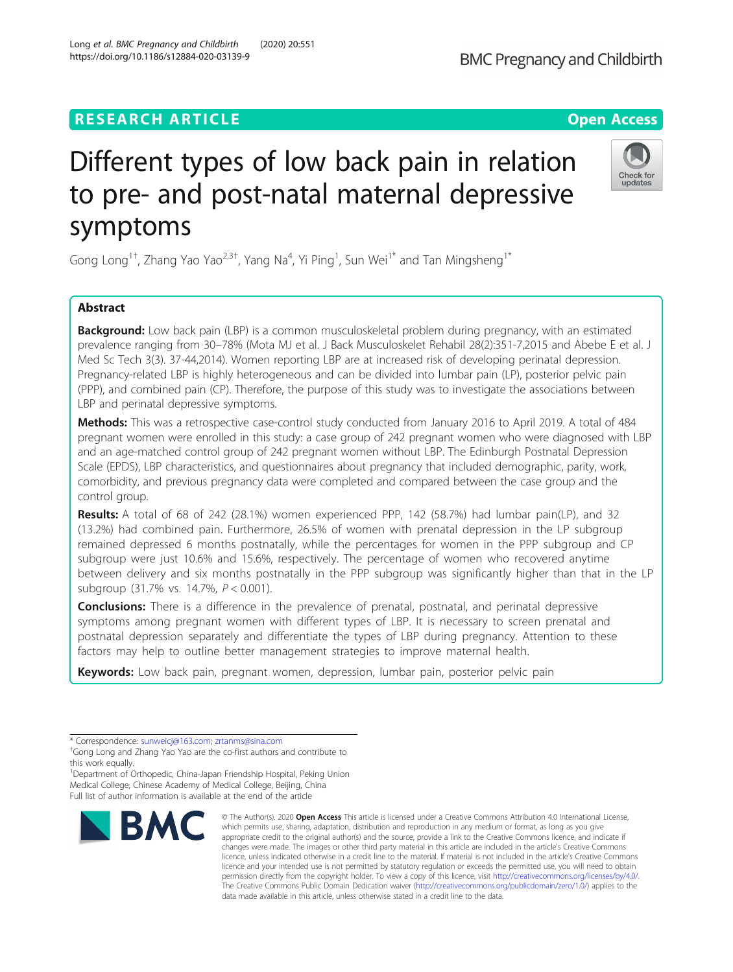## **RESEARCH ARTICLE Example 2014 CONSIDERING A RESEARCH ARTICLE**

# Different types of low back pain in relation to pre- and post-natal maternal depressive symptoms

Gong Long<sup>1†</sup>, Zhang Yao Yao<sup>2,3†</sup>, Yang Na<sup>4</sup>, Yi Ping<sup>1</sup>, Sun Wei<sup>1\*</sup> and Tan Mingsheng<sup>1\*</sup>

## Abstract

**Background:** Low back pain (LBP) is a common musculoskeletal problem during pregnancy, with an estimated prevalence ranging from 30–78% (Mota MJ et al. J Back Musculoskelet Rehabil 28(2):351-7,2015 and Abebe E et al. J Med Sc Tech 3(3). 37-44,2014). Women reporting LBP are at increased risk of developing perinatal depression. Pregnancy-related LBP is highly heterogeneous and can be divided into lumbar pain (LP), posterior pelvic pain (PPP), and combined pain (CP). Therefore, the purpose of this study was to investigate the associations between LBP and perinatal depressive symptoms.

Methods: This was a retrospective case-control study conducted from January 2016 to April 2019. A total of 484 pregnant women were enrolled in this study: a case group of 242 pregnant women who were diagnosed with LBP and an age-matched control group of 242 pregnant women without LBP. The Edinburgh Postnatal Depression Scale (EPDS), LBP characteristics, and questionnaires about pregnancy that included demographic, parity, work, comorbidity, and previous pregnancy data were completed and compared between the case group and the control group.

Results: A total of 68 of 242 (28.1%) women experienced PPP, 142 (58.7%) had lumbar pain(LP), and 32 (13.2%) had combined pain. Furthermore, 26.5% of women with prenatal depression in the LP subgroup remained depressed 6 months postnatally, while the percentages for women in the PPP subgroup and CP subgroup were just 10.6% and 15.6%, respectively. The percentage of women who recovered anytime between delivery and six months postnatally in the PPP subgroup was significantly higher than that in the LP subgroup (31.7% vs. 14.7%,  $P < 0.001$ ).

**Conclusions:** There is a difference in the prevalence of prenatal, postnatal, and perinatal depressive symptoms among pregnant women with different types of LBP. It is necessary to screen prenatal and postnatal depression separately and differentiate the types of LBP during pregnancy. Attention to these factors may help to outline better management strategies to improve maternal health.

Keywords: Low back pain, pregnant women, depression, lumbar pain, posterior pelvic pain

**BMC** 

<sup>1</sup>Department of Orthopedic, China-Japan Friendship Hospital, Peking Union Medical College, Chinese Academy of Medical College, Beijing, China Full list of author information is available at the end of the article

> © The Author(s), 2020 **Open Access** This article is licensed under a Creative Commons Attribution 4.0 International License, which permits use, sharing, adaptation, distribution and reproduction in any medium or format, as long as you give appropriate credit to the original author(s) and the source, provide a link to the Creative Commons licence, and indicate if changes were made. The images or other third party material in this article are included in the article's Creative Commons licence, unless indicated otherwise in a credit line to the material. If material is not included in the article's Creative Commons licence and your intended use is not permitted by statutory regulation or exceeds the permitted use, you will need to obtain permission directly from the copyright holder. To view a copy of this licence, visit [http://creativecommons.org/licenses/by/4.0/.](http://creativecommons.org/licenses/by/4.0/) The Creative Commons Public Domain Dedication waiver [\(http://creativecommons.org/publicdomain/zero/1.0/](http://creativecommons.org/publicdomain/zero/1.0/)) applies to the data made available in this article, unless otherwise stated in a credit line to the data.

Long et al. BMC Pregnancy and Childbirth (2020) 20:551 https://doi.org/10.1186/s12884-020-03139-9





<sup>\*</sup> Correspondence: [sunweicj@163.com](mailto:sunweicj@163.com); [zrtanms@sina.com](mailto:zrtanms@sina.com) †

<sup>&</sup>lt;sup>+</sup>Gong Long and Zhang Yao Yao are the co-first authors and contribute to this work equally.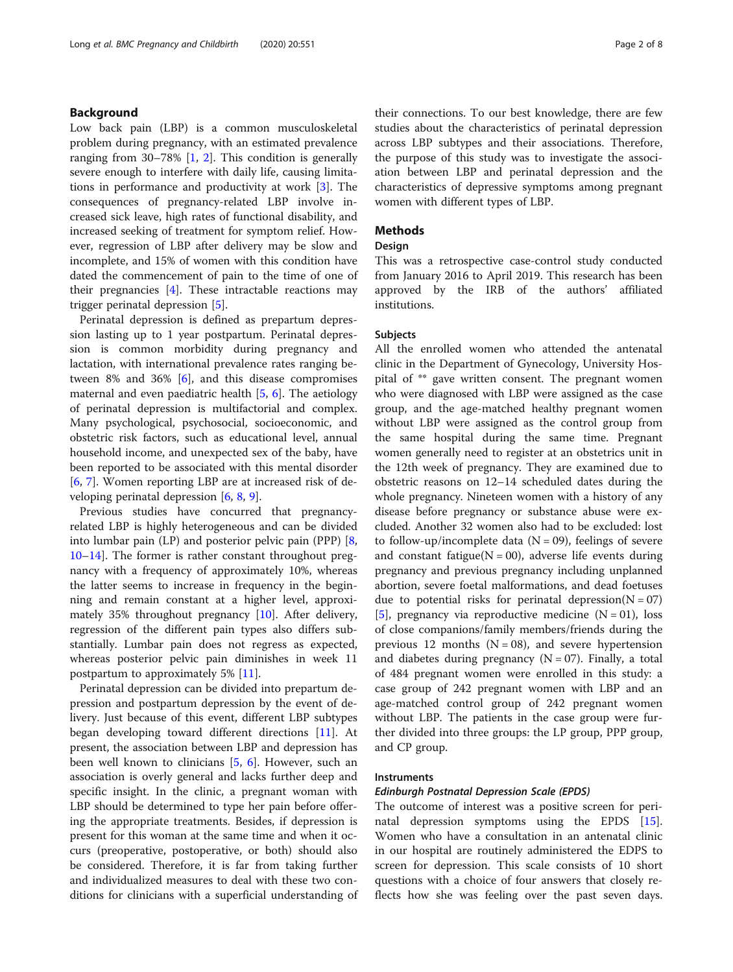## Background

Low back pain (LBP) is a common musculoskeletal problem during pregnancy, with an estimated prevalence ranging from  $30-78\%$  [\[1](#page-7-0), [2](#page-7-0)]. This condition is generally severe enough to interfere with daily life, causing limitations in performance and productivity at work [\[3\]](#page-7-0). The consequences of pregnancy-related LBP involve increased sick leave, high rates of functional disability, and increased seeking of treatment for symptom relief. However, regression of LBP after delivery may be slow and incomplete, and 15% of women with this condition have dated the commencement of pain to the time of one of their pregnancies  $[4]$  $[4]$ . These intractable reactions may trigger perinatal depression [[5\]](#page-7-0).

Perinatal depression is defined as prepartum depression lasting up to 1 year postpartum. Perinatal depression is common morbidity during pregnancy and lactation, with international prevalence rates ranging between 8% and 36% [[6](#page-7-0)], and this disease compromises maternal and even paediatric health [[5,](#page-7-0) [6](#page-7-0)]. The aetiology of perinatal depression is multifactorial and complex. Many psychological, psychosocial, socioeconomic, and obstetric risk factors, such as educational level, annual household income, and unexpected sex of the baby, have been reported to be associated with this mental disorder [[6,](#page-7-0) [7\]](#page-7-0). Women reporting LBP are at increased risk of developing perinatal depression [\[6](#page-7-0), [8](#page-7-0), [9](#page-7-0)].

Previous studies have concurred that pregnancyrelated LBP is highly heterogeneous and can be divided into lumbar pain (LP) and posterior pelvic pain (PPP) [\[8](#page-7-0), [10](#page-7-0)–[14](#page-7-0)]. The former is rather constant throughout pregnancy with a frequency of approximately 10%, whereas the latter seems to increase in frequency in the beginning and remain constant at a higher level, approximately 35% throughout pregnancy [[10\]](#page-7-0). After delivery, regression of the different pain types also differs substantially. Lumbar pain does not regress as expected, whereas posterior pelvic pain diminishes in week 11 postpartum to approximately 5% [[11\]](#page-7-0).

Perinatal depression can be divided into prepartum depression and postpartum depression by the event of delivery. Just because of this event, different LBP subtypes began developing toward different directions [[11](#page-7-0)]. At present, the association between LBP and depression has been well known to clinicians [[5,](#page-7-0) [6\]](#page-7-0). However, such an association is overly general and lacks further deep and specific insight. In the clinic, a pregnant woman with LBP should be determined to type her pain before offering the appropriate treatments. Besides, if depression is present for this woman at the same time and when it occurs (preoperative, postoperative, or both) should also be considered. Therefore, it is far from taking further and individualized measures to deal with these two conditions for clinicians with a superficial understanding of their connections. To our best knowledge, there are few studies about the characteristics of perinatal depression across LBP subtypes and their associations. Therefore, the purpose of this study was to investigate the association between LBP and perinatal depression and the characteristics of depressive symptoms among pregnant women with different types of LBP.

## Methods

## Design

This was a retrospective case-control study conducted from January 2016 to April 2019. This research has been approved by the IRB of the authors' affiliated institutions.

## Subjects

All the enrolled women who attended the antenatal clinic in the Department of Gynecology, University Hospital of \*\* gave written consent. The pregnant women who were diagnosed with LBP were assigned as the case group, and the age-matched healthy pregnant women without LBP were assigned as the control group from the same hospital during the same time. Pregnant women generally need to register at an obstetrics unit in the 12th week of pregnancy. They are examined due to obstetric reasons on 12–14 scheduled dates during the whole pregnancy. Nineteen women with a history of any disease before pregnancy or substance abuse were excluded. Another 32 women also had to be excluded: lost to follow-up/incomplete data  $(N = 09)$ , feelings of severe and constant fatigue( $N = 00$ ), adverse life events during pregnancy and previous pregnancy including unplanned abortion, severe foetal malformations, and dead foetuses due to potential risks for perinatal depression( $N = 07$ ) [[5\]](#page-7-0), pregnancy via reproductive medicine  $(N = 01)$ , loss of close companions/family members/friends during the previous 12 months  $(N = 08)$ , and severe hypertension and diabetes during pregnancy  $(N = 07)$ . Finally, a total of 484 pregnant women were enrolled in this study: a case group of 242 pregnant women with LBP and an age-matched control group of 242 pregnant women without LBP. The patients in the case group were further divided into three groups: the LP group, PPP group, and CP group.

## **Instruments**

#### Edinburgh Postnatal Depression Scale (EPDS)

The outcome of interest was a positive screen for perinatal depression symptoms using the EPDS [\[15](#page-7-0)]. Women who have a consultation in an antenatal clinic in our hospital are routinely administered the EDPS to screen for depression. This scale consists of 10 short questions with a choice of four answers that closely reflects how she was feeling over the past seven days.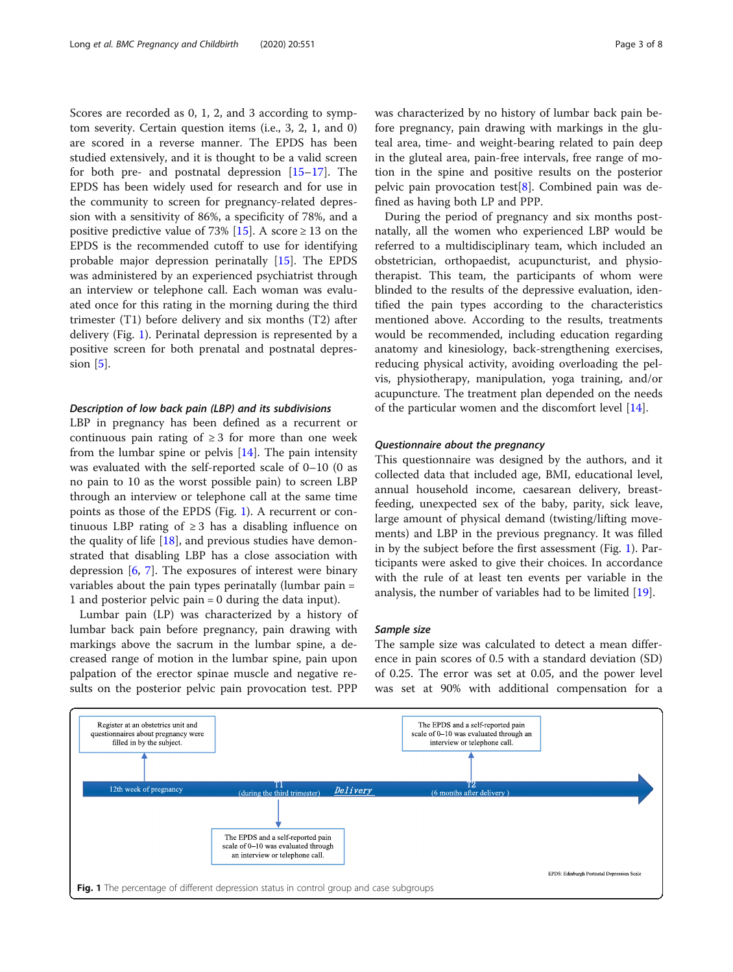<span id="page-2-0"></span>Scores are recorded as 0, 1, 2, and 3 according to symptom severity. Certain question items (i.e., 3, 2, 1, and 0) are scored in a reverse manner. The EPDS has been studied extensively, and it is thought to be a valid screen for both pre- and postnatal depression [[15](#page-7-0)–[17](#page-7-0)]. The EPDS has been widely used for research and for use in the community to screen for pregnancy-related depression with a sensitivity of 86%, a specificity of 78%, and a positive predictive value of 73% [\[15](#page-7-0)]. A score  $\geq$  13 on the EPDS is the recommended cutoff to use for identifying probable major depression perinatally [[15\]](#page-7-0). The EPDS was administered by an experienced psychiatrist through an interview or telephone call. Each woman was evaluated once for this rating in the morning during the third trimester (T1) before delivery and six months (T2) after delivery (Fig. 1). Perinatal depression is represented by a positive screen for both prenatal and postnatal depression  $[5]$  $[5]$ .

## Description of low back pain (LBP) and its subdivisions

LBP in pregnancy has been defined as a recurrent or continuous pain rating of  $\geq$  3 for more than one week from the lumbar spine or pelvis  $[14]$ . The pain intensity was evaluated with the self-reported scale of 0–10 (0 as no pain to 10 as the worst possible pain) to screen LBP through an interview or telephone call at the same time points as those of the EPDS (Fig. 1). A recurrent or continuous LBP rating of  $\geq$  3 has a disabling influence on the quality of life  $[18]$  $[18]$ , and previous studies have demonstrated that disabling LBP has a close association with depression  $[6, 7]$  $[6, 7]$  $[6, 7]$ . The exposures of interest were binary variables about the pain types perinatally (lumbar pain = 1 and posterior pelvic pain = 0 during the data input).

Lumbar pain (LP) was characterized by a history of lumbar back pain before pregnancy, pain drawing with markings above the sacrum in the lumbar spine, a decreased range of motion in the lumbar spine, pain upon palpation of the erector spinae muscle and negative results on the posterior pelvic pain provocation test. PPP was characterized by no history of lumbar back pain before pregnancy, pain drawing with markings in the gluteal area, time- and weight-bearing related to pain deep in the gluteal area, pain-free intervals, free range of motion in the spine and positive results on the posterior pelvic pain provocation test<sup>[\[8](#page-7-0)]</sup>. Combined pain was defined as having both LP and PPP.

During the period of pregnancy and six months postnatally, all the women who experienced LBP would be referred to a multidisciplinary team, which included an obstetrician, orthopaedist, acupuncturist, and physiotherapist. This team, the participants of whom were blinded to the results of the depressive evaluation, identified the pain types according to the characteristics mentioned above. According to the results, treatments would be recommended, including education regarding anatomy and kinesiology, back-strengthening exercises, reducing physical activity, avoiding overloading the pelvis, physiotherapy, manipulation, yoga training, and/or acupuncture. The treatment plan depended on the needs of the particular women and the discomfort level [[14\]](#page-7-0).

#### Questionnaire about the pregnancy

This questionnaire was designed by the authors, and it collected data that included age, BMI, educational level, annual household income, caesarean delivery, breastfeeding, unexpected sex of the baby, parity, sick leave, large amount of physical demand (twisting/lifting movements) and LBP in the previous pregnancy. It was filled in by the subject before the first assessment (Fig. 1). Participants were asked to give their choices. In accordance with the rule of at least ten events per variable in the analysis, the number of variables had to be limited [\[19](#page-7-0)].

#### Sample size

The sample size was calculated to detect a mean difference in pain scores of 0.5 with a standard deviation (SD) of 0.25. The error was set at 0.05, and the power level was set at 90% with additional compensation for a

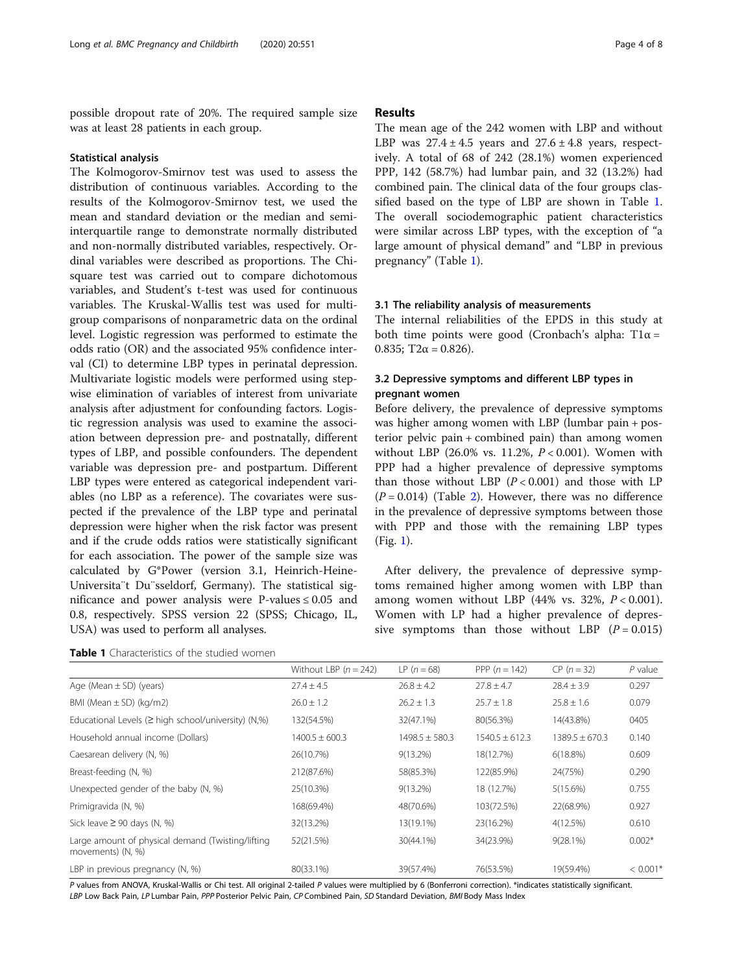possible dropout rate of 20%. The required sample size was at least 28 patients in each group.

#### Statistical analysis

The Kolmogorov-Smirnov test was used to assess the distribution of continuous variables. According to the results of the Kolmogorov-Smirnov test, we used the mean and standard deviation or the median and semiinterquartile range to demonstrate normally distributed and non-normally distributed variables, respectively. Ordinal variables were described as proportions. The Chisquare test was carried out to compare dichotomous variables, and Student's t-test was used for continuous variables. The Kruskal-Wallis test was used for multigroup comparisons of nonparametric data on the ordinal level. Logistic regression was performed to estimate the odds ratio (OR) and the associated 95% confidence interval (CI) to determine LBP types in perinatal depression. Multivariate logistic models were performed using stepwise elimination of variables of interest from univariate analysis after adjustment for confounding factors. Logistic regression analysis was used to examine the association between depression pre- and postnatally, different types of LBP, and possible confounders. The dependent variable was depression pre- and postpartum. Different LBP types were entered as categorical independent variables (no LBP as a reference). The covariates were suspected if the prevalence of the LBP type and perinatal depression were higher when the risk factor was present and if the crude odds ratios were statistically significant for each association. The power of the sample size was calculated by G\*Power (version 3.1, Heinrich-Heine-Universita¨t Du¨sseldorf, Germany). The statistical significance and power analysis were P-values  $\leq 0.05$  and 0.8, respectively. SPSS version 22 (SPSS; Chicago, IL, USA) was used to perform all analyses.

Table 1 Characteristics of the studied women

## Results

The mean age of the 242 women with LBP and without LBP was  $27.4 \pm 4.5$  years and  $27.6 \pm 4.8$  years, respectively. A total of 68 of 242 (28.1%) women experienced PPP, 142 (58.7%) had lumbar pain, and 32 (13.2%) had combined pain. The clinical data of the four groups classified based on the type of LBP are shown in Table 1. The overall sociodemographic patient characteristics were similar across LBP types, with the exception of "a large amount of physical demand" and "LBP in previous pregnancy" (Table 1).

## 3.1 The reliability analysis of measurements

The internal reliabilities of the EPDS in this study at both time points were good (Cronbach's alpha:  $T1\alpha =$ 0.835; T2α = 0.826).

## 3.2 Depressive symptoms and different LBP types in pregnant women

Before delivery, the prevalence of depressive symptoms was higher among women with LBP (lumbar pain + posterior pelvic pain + combined pain) than among women without LBP (26.0% vs. 11.2%, P < 0.001). Women with PPP had a higher prevalence of depressive symptoms than those without LBP  $(P < 0.001)$  and those with LP  $(P = 0.014)$  (Table [2](#page-4-0)). However, there was no difference in the prevalence of depressive symptoms between those with PPP and those with the remaining LBP types (Fig. [1](#page-2-0)).

After delivery, the prevalence of depressive symptoms remained higher among women with LBP than among women without LBP (44% vs. 32%,  $P < 0.001$ ). Women with LP had a higher prevalence of depressive symptoms than those without LBP  $(P = 0.015)$ 

|                                                                        | Without LBP $(n = 242)$ | $LP (n = 68)$      | PPP $(n = 142)$    | $CP (n = 32)$      | $P$ value  |
|------------------------------------------------------------------------|-------------------------|--------------------|--------------------|--------------------|------------|
| Age (Mean $\pm$ SD) (years)                                            | $27.4 \pm 4.5$          | $26.8 \pm 4.2$     | $27.8 \pm 4.7$     | $28.4 \pm 3.9$     | 0.297      |
| BMI (Mean $\pm$ SD) (kg/m2)                                            | $26.0 \pm 1.2$          | $26.2 \pm 1.3$     | $25.7 \pm 1.8$     | $25.8 \pm 1.6$     | 0.079      |
| Educational Levels ( $\geq$ high school/university) ( $N$ ,%)          | 132(54.5%)              | 32(47.1%)          | 80(56.3%)          | 14(43.8%)          | 0405       |
| Household annual income (Dollars)                                      | $1400.5 \pm 600.3$      | $1498.5 \pm 580.3$ | $1540.5 \pm 612.3$ | $1389.5 \pm 670.3$ | 0.140      |
| Caesarean delivery (N, %)                                              | 26(10.7%)               | $9(13.2\%)$        | 18(12.7%)          | 6(18.8%)           | 0.609      |
| Breast-feeding (N, %)                                                  | 212(87.6%)              | 58(85.3%)          | 122(85.9%)         | 24(75%)            | 0.290      |
| Unexpected gender of the baby (N, %)                                   | 25(10.3%)               | $9(13.2\%)$        | 18 (12.7%)         | 5(15.6%)           | 0.755      |
| Primigravida (N, %)                                                    | 168(69.4%)              | 48(70.6%)          | 103(72.5%)         | 22(68.9%)          | 0.927      |
| Sick leave $\geq$ 90 days (N, %)                                       | 32(13.2%)               | 13(19.1%)          | 23(16.2%)          | 4(12.5%)           | 0.610      |
| Large amount of physical demand (Twisting/lifting<br>movements) (N, %) | 52(21.5%)               | 30(44.1%)          | 34(23.9%)          | $9(28.1\%)$        | $0.002*$   |
| LBP in previous pregnancy (N, %)                                       | 80(33.1%)               | 39(57.4%)          | 76(53.5%)          | 19(59.4%)          | $< 0.001*$ |

P values from ANOVA, Kruskal-Wallis or Chi test. All original 2-tailed P values were multiplied by 6 (Bonferroni correction). \*indicates statistically significant. LBP Low Back Pain, LP Lumbar Pain, PPP Posterior Pelvic Pain, CP Combined Pain, SD Standard Deviation, BMI Body Mass Index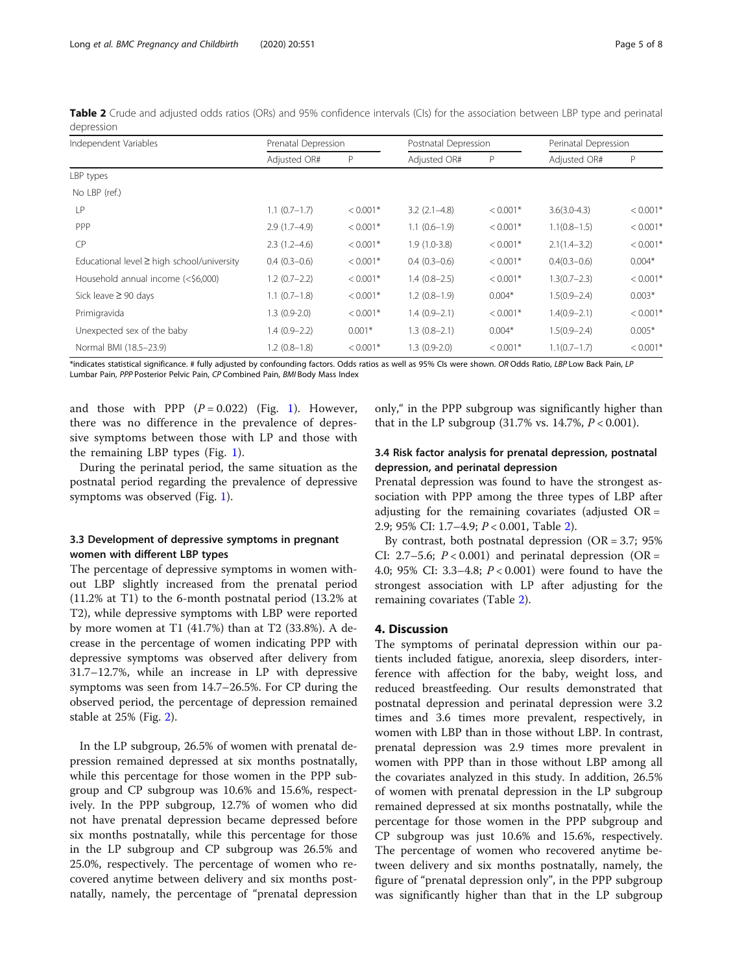<span id="page-4-0"></span>Table 2 Crude and adjusted odds ratios (ORs) and 95% confidence intervals (CIs) for the association between LBP type and perinatal depression

| Independent Variables                      | Prenatal Depression |            | Postnatal Depression |            | Perinatal Depression |            |
|--------------------------------------------|---------------------|------------|----------------------|------------|----------------------|------------|
|                                            | Adjusted OR#        | P          | Adjusted OR#         | P          | Adjusted OR#         | P          |
| LBP types                                  |                     |            |                      |            |                      |            |
| No LBP (ref.)                              |                     |            |                      |            |                      |            |
| IP                                         | $1.1(0.7-1.7)$      | $< 0.001*$ | $3.2$ $(2.1 - 4.8)$  | $< 0.001*$ | $3.6(3.0-4.3)$       | $< 0.001*$ |
| PPP                                        | $2.9(1.7-4.9)$      | $< 0.001*$ | $1.1(0.6-1.9)$       | $< 0.001*$ | $1.1(0.8-1.5)$       | $< 0.001*$ |
| CP                                         | $2.3(1.2 - 4.6)$    | $< 0.001*$ | $1.9(1.0-3.8)$       | $< 0.001*$ | $2.1(1.4-3.2)$       | $< 0.001*$ |
| Educational level ≥ high school/university | $0.4(0.3-0.6)$      | $< 0.001*$ | $0.4(0.3-0.6)$       | $< 0.001*$ | $0.4(0.3 - 0.6)$     | $0.004*$   |
| Household annual income (<\$6,000)         | $1.2(0.7-2.2)$      | $< 0.001*$ | $1.4(0.8-2.5)$       | $< 0.001*$ | $1.3(0.7 - 2.3)$     | $< 0.001*$ |
| Sick leave $\geq 90$ days                  | $1.1(0.7-1.8)$      | $< 0.001*$ | $1.2(0.8-1.9)$       | $0.004*$   | $1.5(0.9 - 2.4)$     | $0.003*$   |
| Primigravida                               | $1.3(0.9-2.0)$      | $< 0.001*$ | $1.4(0.9-2.1)$       | $< 0.001*$ | $1.4(0.9 - 2.1)$     | $< 0.001*$ |
| Unexpected sex of the baby                 | $1.4(0.9-2.2)$      | $0.001*$   | $1.3(0.8-2.1)$       | $0.004*$   | $1.5(0.9 - 2.4)$     | $0.005*$   |
| Normal BMI (18.5-23.9)                     | $1.2(0.8-1.8)$      | $< 0.001*$ | $1.3(0.9-2.0)$       | $< 0.001*$ | $1.1(0.7-1.7)$       | $< 0.001*$ |

\*indicates statistical significance. # fully adjusted by confounding factors. Odds ratios as well as 95% CIs were shown. OR Odds Ratio, LBP Low Back Pain, LP Lumbar Pain, PPP Posterior Pelvic Pain, CP Combined Pain, BMI Body Mass Index

and those with PPP  $(P = 0.022)$  (Fig. [1\)](#page-2-0). However, there was no difference in the prevalence of depressive symptoms between those with LP and those with the remaining LBP types (Fig. [1](#page-2-0)).

During the perinatal period, the same situation as the postnatal period regarding the prevalence of depressive symptoms was observed (Fig. [1](#page-2-0)).

## 3.3 Development of depressive symptoms in pregnant women with different LBP types

The percentage of depressive symptoms in women without LBP slightly increased from the prenatal period (11.2% at T1) to the 6-month postnatal period (13.2% at T2), while depressive symptoms with LBP were reported by more women at T1 (41.7%) than at T2 (33.8%). A decrease in the percentage of women indicating PPP with depressive symptoms was observed after delivery from 31.7–12.7%, while an increase in LP with depressive symptoms was seen from 14.7–26.5%. For CP during the observed period, the percentage of depression remained stable at 25% (Fig. [2\)](#page-5-0).

In the LP subgroup, 26.5% of women with prenatal depression remained depressed at six months postnatally, while this percentage for those women in the PPP subgroup and CP subgroup was 10.6% and 15.6%, respectively. In the PPP subgroup, 12.7% of women who did not have prenatal depression became depressed before six months postnatally, while this percentage for those in the LP subgroup and CP subgroup was 26.5% and 25.0%, respectively. The percentage of women who recovered anytime between delivery and six months postnatally, namely, the percentage of "prenatal depression only," in the PPP subgroup was significantly higher than that in the LP subgroup  $(31.7\% \text{ vs. } 14.7\%, P < 0.001)$ .

## 3.4 Risk factor analysis for prenatal depression, postnatal depression, and perinatal depression

Prenatal depression was found to have the strongest association with PPP among the three types of LBP after adjusting for the remaining covariates (adjusted  $OR =$ 2.9; 95% CI: 1.7–4.9; P < 0.001, Table 2).

By contrast, both postnatal depression  $(OR = 3.7; 95\%)$ CI: 2.7–5.6;  $P < 0.001$ ) and perinatal depression (OR = 4.0; 95% CI: 3.3–4.8; P < 0.001) were found to have the strongest association with LP after adjusting for the remaining covariates (Table 2).

## 4. Discussion

The symptoms of perinatal depression within our patients included fatigue, anorexia, sleep disorders, interference with affection for the baby, weight loss, and reduced breastfeeding. Our results demonstrated that postnatal depression and perinatal depression were 3.2 times and 3.6 times more prevalent, respectively, in women with LBP than in those without LBP. In contrast, prenatal depression was 2.9 times more prevalent in women with PPP than in those without LBP among all the covariates analyzed in this study. In addition, 26.5% of women with prenatal depression in the LP subgroup remained depressed at six months postnatally, while the percentage for those women in the PPP subgroup and CP subgroup was just 10.6% and 15.6%, respectively. The percentage of women who recovered anytime between delivery and six months postnatally, namely, the figure of "prenatal depression only", in the PPP subgroup was significantly higher than that in the LP subgroup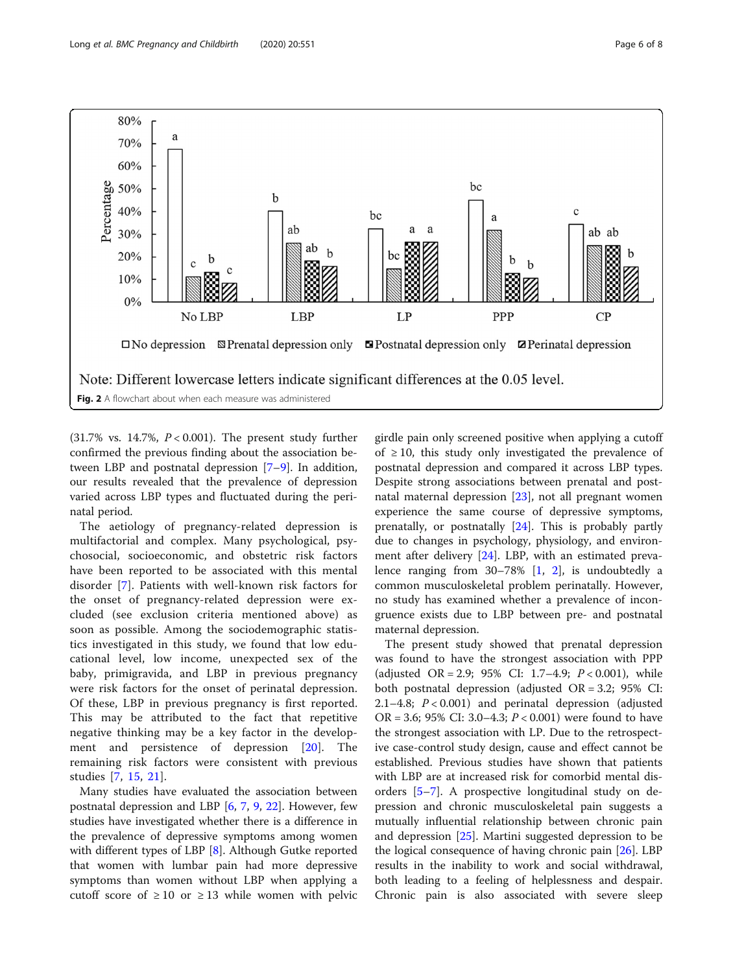<span id="page-5-0"></span>

(31.7% vs. 14.7%,  $P < 0.001$ ). The present study further confirmed the previous finding about the association between LBP and postnatal depression [[7](#page-7-0)–[9\]](#page-7-0). In addition, our results revealed that the prevalence of depression varied across LBP types and fluctuated during the perinatal period.

The aetiology of pregnancy-related depression is multifactorial and complex. Many psychological, psychosocial, socioeconomic, and obstetric risk factors have been reported to be associated with this mental disorder [[7\]](#page-7-0). Patients with well-known risk factors for the onset of pregnancy-related depression were excluded (see exclusion criteria mentioned above) as soon as possible. Among the sociodemographic statistics investigated in this study, we found that low educational level, low income, unexpected sex of the baby, primigravida, and LBP in previous pregnancy were risk factors for the onset of perinatal depression. Of these, LBP in previous pregnancy is first reported. This may be attributed to the fact that repetitive negative thinking may be a key factor in the development and persistence of depression [\[20](#page-7-0)]. The remaining risk factors were consistent with previous studies [[7,](#page-7-0) [15,](#page-7-0) [21](#page-7-0)].

Many studies have evaluated the association between postnatal depression and LBP [\[6](#page-7-0), [7,](#page-7-0) [9,](#page-7-0) [22](#page-7-0)]. However, few studies have investigated whether there is a difference in the prevalence of depressive symptoms among women with different types of LBP [\[8\]](#page-7-0). Although Gutke reported that women with lumbar pain had more depressive symptoms than women without LBP when applying a cutoff score of  $\geq 10$  or  $\geq 13$  while women with pelvic

girdle pain only screened positive when applying a cutoff of  $\geq$  10, this study only investigated the prevalence of postnatal depression and compared it across LBP types. Despite strong associations between prenatal and postnatal maternal depression [[23\]](#page-7-0), not all pregnant women experience the same course of depressive symptoms, prenatally, or postnatally [[24\]](#page-7-0). This is probably partly due to changes in psychology, physiology, and environment after delivery [\[24](#page-7-0)]. LBP, with an estimated prevalence ranging from 30–78% [[1,](#page-7-0) [2\]](#page-7-0), is undoubtedly a common musculoskeletal problem perinatally. However, no study has examined whether a prevalence of incongruence exists due to LBP between pre- and postnatal maternal depression.

The present study showed that prenatal depression was found to have the strongest association with PPP (adjusted OR = 2.9; 95% CI: 1.7–4.9;  $P < 0.001$ ), while both postnatal depression (adjusted OR = 3.2; 95% CI: 2.1–4.8;  $P < 0.001$ ) and perinatal depression (adjusted OR = 3.6; 95% CI: 3.0–4.3;  $P < 0.001$ ) were found to have the strongest association with LP. Due to the retrospective case-control study design, cause and effect cannot be established. Previous studies have shown that patients with LBP are at increased risk for comorbid mental disorders [[5](#page-7-0)–[7\]](#page-7-0). A prospective longitudinal study on depression and chronic musculoskeletal pain suggests a mutually influential relationship between chronic pain and depression [[25\]](#page-7-0). Martini suggested depression to be the logical consequence of having chronic pain [[26](#page-7-0)]. LBP results in the inability to work and social withdrawal, both leading to a feeling of helplessness and despair. Chronic pain is also associated with severe sleep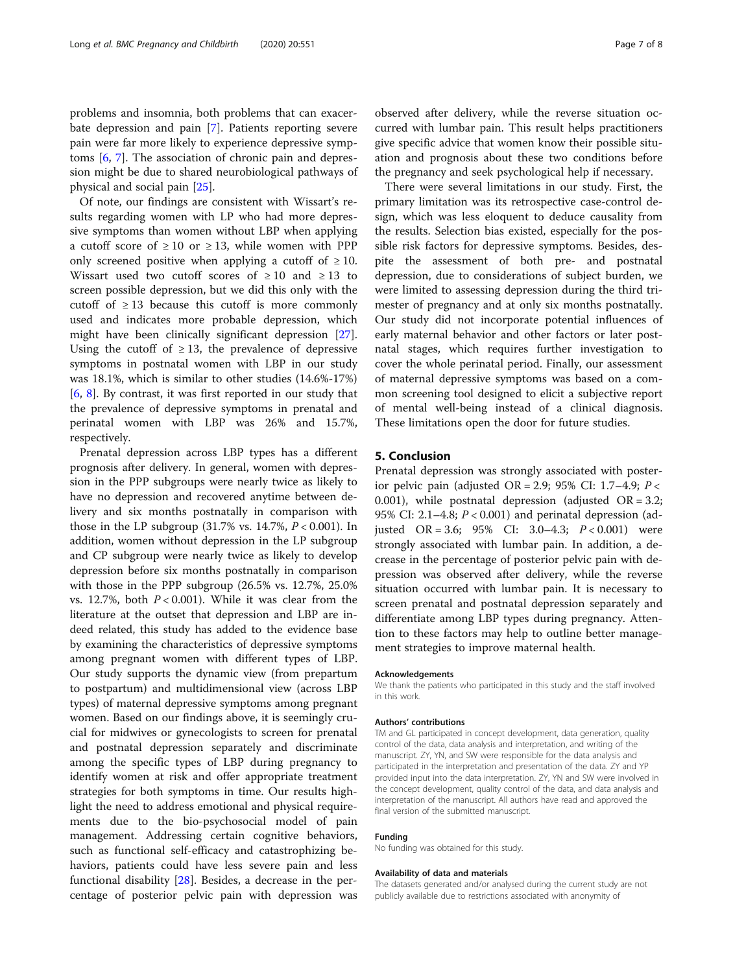problems and insomnia, both problems that can exacerbate depression and pain [\[7](#page-7-0)]. Patients reporting severe pain were far more likely to experience depressive symptoms [[6](#page-7-0), [7\]](#page-7-0). The association of chronic pain and depression might be due to shared neurobiological pathways of physical and social pain [[25\]](#page-7-0).

Of note, our findings are consistent with Wissart's results regarding women with LP who had more depressive symptoms than women without LBP when applying a cutoff score of  $\geq 10$  or  $\geq 13$ , while women with PPP only screened positive when applying a cutoff of  $\geq 10$ . Wissart used two cutoff scores of  $\geq 10$  and  $\geq 13$  to screen possible depression, but we did this only with the cutoff of  $\geq$  13 because this cutoff is more commonly used and indicates more probable depression, which might have been clinically significant depression [\[27](#page-7-0)]. Using the cutoff of  $\geq$  13, the prevalence of depressive symptoms in postnatal women with LBP in our study was 18.1%, which is similar to other studies (14.6%-17%) [[6,](#page-7-0) [8](#page-7-0)]. By contrast, it was first reported in our study that the prevalence of depressive symptoms in prenatal and perinatal women with LBP was 26% and 15.7%, respectively.

Prenatal depression across LBP types has a different prognosis after delivery. In general, women with depression in the PPP subgroups were nearly twice as likely to have no depression and recovered anytime between delivery and six months postnatally in comparison with those in the LP subgroup  $(31.7\% \text{ vs. } 14.7\%, P < 0.001)$ . In addition, women without depression in the LP subgroup and CP subgroup were nearly twice as likely to develop depression before six months postnatally in comparison with those in the PPP subgroup (26.5% vs. 12.7%, 25.0% vs. 12.7%, both  $P < 0.001$ ). While it was clear from the literature at the outset that depression and LBP are indeed related, this study has added to the evidence base by examining the characteristics of depressive symptoms among pregnant women with different types of LBP. Our study supports the dynamic view (from prepartum to postpartum) and multidimensional view (across LBP types) of maternal depressive symptoms among pregnant women. Based on our findings above, it is seemingly crucial for midwives or gynecologists to screen for prenatal and postnatal depression separately and discriminate among the specific types of LBP during pregnancy to identify women at risk and offer appropriate treatment strategies for both symptoms in time. Our results highlight the need to address emotional and physical requirements due to the bio-psychosocial model of pain management. Addressing certain cognitive behaviors, such as functional self-efficacy and catastrophizing behaviors, patients could have less severe pain and less functional disability [[28](#page-7-0)]. Besides, a decrease in the percentage of posterior pelvic pain with depression was

observed after delivery, while the reverse situation occurred with lumbar pain. This result helps practitioners give specific advice that women know their possible situation and prognosis about these two conditions before the pregnancy and seek psychological help if necessary.

There were several limitations in our study. First, the primary limitation was its retrospective case-control design, which was less eloquent to deduce causality from the results. Selection bias existed, especially for the possible risk factors for depressive symptoms. Besides, despite the assessment of both pre- and postnatal depression, due to considerations of subject burden, we were limited to assessing depression during the third trimester of pregnancy and at only six months postnatally. Our study did not incorporate potential influences of early maternal behavior and other factors or later postnatal stages, which requires further investigation to cover the whole perinatal period. Finally, our assessment of maternal depressive symptoms was based on a common screening tool designed to elicit a subjective report of mental well-being instead of a clinical diagnosis. These limitations open the door for future studies.

## 5. Conclusion

Prenatal depression was strongly associated with posterior pelvic pain (adjusted OR = 2.9; 95% CI: 1.7–4.9;  $P \lt \text{ }$ 0.001), while postnatal depression (adjusted  $OR = 3.2$ ; 95% CI: 2.1–4.8; P < 0.001) and perinatal depression (adjusted OR = 3.6; 95% CI: 3.0-4.3;  $P < 0.001$ ) were strongly associated with lumbar pain. In addition, a decrease in the percentage of posterior pelvic pain with depression was observed after delivery, while the reverse situation occurred with lumbar pain. It is necessary to screen prenatal and postnatal depression separately and differentiate among LBP types during pregnancy. Attention to these factors may help to outline better management strategies to improve maternal health.

#### Acknowledgements

We thank the patients who participated in this study and the staff involved in this work.

#### Authors' contributions

TM and GL participated in concept development, data generation, quality control of the data, data analysis and interpretation, and writing of the manuscript. ZY, YN, and SW were responsible for the data analysis and participated in the interpretation and presentation of the data. ZY and YP provided input into the data interpretation. ZY, YN and SW were involved in the concept development, quality control of the data, and data analysis and interpretation of the manuscript. All authors have read and approved the final version of the submitted manuscript.

#### Funding

No funding was obtained for this study.

#### Availability of data and materials

The datasets generated and/or analysed during the current study are not publicly available due to restrictions associated with anonymity of